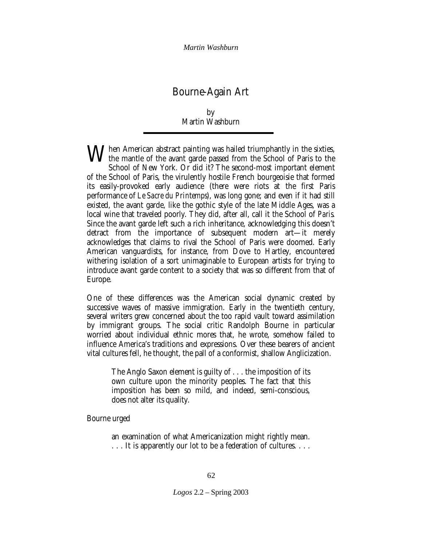# Bourne-Again Art

# by Martin Washburn

When American abstract painting was hailed triumphantly in the sixties,<br>the mantle of the avant garde passed from the School of Paris to the<br>School of New York, Or did it? The second most important element the mantle of the avant garde passed from the School of Paris to the School of New York. Or did it? The second-most important element of the School of Paris, the virulently hostile French bourgeoisie that formed its easily-provoked early audience (there were riots at the first Paris performance of *Le Sacre du Printemps*), was long gone; and even if it had still existed, the avant garde, like the gothic style of the late Middle Ages, was a local wine that traveled poorly. They did, after all, call it the School of *Paris*. Since the avant garde left such a rich inheritance, acknowledging this doesn't detract from the importance of subsequent modern art—it merely acknowledges that claims to rival the School of Paris were doomed. Early American vanguardists, for instance, from Dove to Hartley, encountered withering isolation of a sort unimaginable to European artists for trying to introduce avant garde content to a society that was so different from that of Europe.

One of these differences was the American social dynamic created by successive waves of massive immigration. Early in the twentieth century, several writers grew concerned about the too rapid vault toward assimilation by immigrant groups. The social critic Randolph Bourne in particular worried about individual ethnic mores that, he wrote, somehow failed to influence America's traditions and expressions. Over these bearers of ancient vital cultures fell, he thought, the pall of a conformist, shallow Anglicization.

The Anglo Saxon element is guilty of . . . the imposition of its own culture upon the minority peoples. The fact that this imposition has been so mild, and indeed, semi-conscious, does not alter its quality.

Bourne urged

an examination of what Americanization might rightly mean. . . . It is apparently our lot to be a federation of cultures. . . .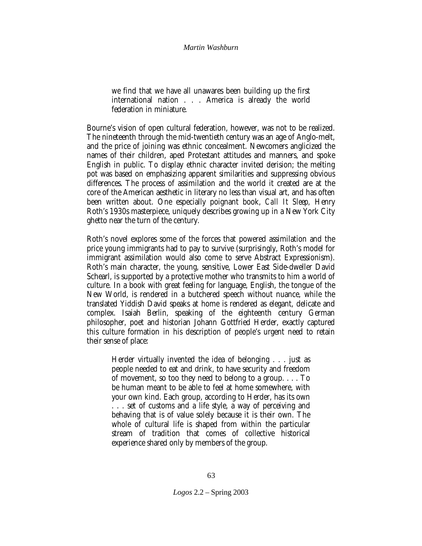we find that we have all unawares been building up the first international nation . . . America is already the world federation in miniature.

Bourne's vision of open cultural federation, however, was not to be realized. The nineteenth through the mid-twentieth century was an age of Anglo-melt, and the price of joining was ethnic concealment. Newcomers anglicized the names of their children, aped Protestant attitudes and manners, and spoke English in public. To display ethnic character invited derision; the melting pot was based on emphasizing apparent similarities and suppressing obvious differences. The process of assimilation and the world it created are at the core of the American aesthetic in literary no less than visual art, and has often been written about. One especially poignant book, *Call It Sleep,* Henry Roth's 1930s masterpiece, uniquely describes growing up in a New York City ghetto near the turn of the century.

Roth's novel explores some of the forces that powered assimilation and the price young immigrants had to pay to survive (surprisingly, Roth's model for immigrant assimilation would also come to serve Abstract Expressionism). Roth's main character, the young, sensitive, Lower East Side-dweller David Schearl, is supported by a protective mother who transmits to him a world of culture. In a book with great feeling for language, English, the tongue of the New World, is rendered in a butchered speech without nuance, while the translated Yiddish David speaks at home is rendered as elegant, delicate and complex. Isaiah Berlin, speaking of the eighteenth century German philosopher, poet and historian Johann Gottfried Herder, exactly captured this culture formation in his description of people's urgent need to retain their sense of place:

Herder virtually invented the idea of belonging . . . just as people needed to eat and drink, to have security and freedom of movement, so too they need to belong to a group. . . . To be human meant to be able to feel at home somewhere, with your own kind. Each group, according to Herder, has its own . . . set of customs and a life style, a way of perceiving and behaving that is of value solely because it is their own. The whole of cultural life is shaped from within the particular stream of tradition that comes of collective historical experience shared only by members of the group.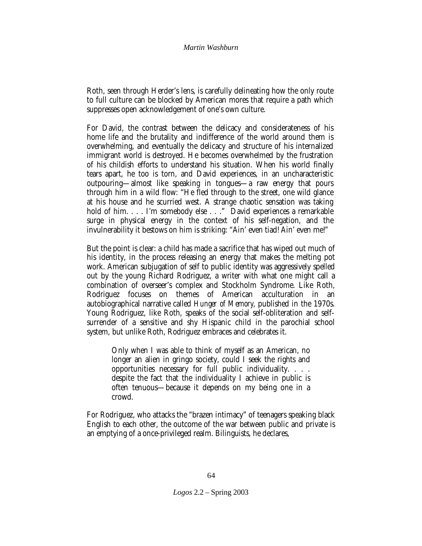Roth, seen through Herder's lens, is carefully delineating how the only route to full culture can be blocked by American mores that require a path which suppresses open acknowledgement of one's own culture.

For David, the contrast between the delicacy and considerateness of his home life and the brutality and indifference of the world around them is overwhelming, and eventually the delicacy and structure of his internalized immigrant world is destroyed. He becomes overwhelmed by the frustration of his childish efforts to understand his situation. When his world finally tears apart, he too is torn, and David experiences, in an uncharacteristic outpouring—almost like speaking in tongues—a raw energy that pours through him in a wild flow: "He fled through to the street, one wild glance at his house and he scurried west. A strange chaotic sensation was taking hold of him. . . . I'm somebody else . . ." David experiences a remarkable surge in physical energy in the context of his self-negation, and the invulnerability it bestows on him is striking: "Ain' even tiad! Ain' even me!"

But the point is clear: a child has made a sacrifice that has wiped out much of his identity, in the process releasing an energy that makes the melting pot work. American subjugation of self to public identity was aggressively spelled out by the young Richard Rodriguez, a writer with what one might call a combination of overseer's complex and Stockholm Syndrome. Like Roth, Rodriguez focuses on themes of American acculturation in an autobiographical narrative called *Hunger of Memory,* published in the 1970s. Young Rodriguez, like Roth, speaks of the social self-obliteration and selfsurrender of a sensitive and shy Hispanic child in the parochial school system, but unlike Roth, Rodriguez embraces and celebrates it.

Only when I was able to think of myself as an American, no longer an alien in gringo society, could I seek the rights and opportunities necessary for full public individuality. . . . despite the fact that the individuality I achieve in public is often tenuous—because it depends on my being one in a crowd.

For Rodriguez, who attacks the "brazen intimacy" of teenagers speaking black English to each other, the outcome of the war between public and private is an emptying of a once-privileged realm. Bilinguists, he declares,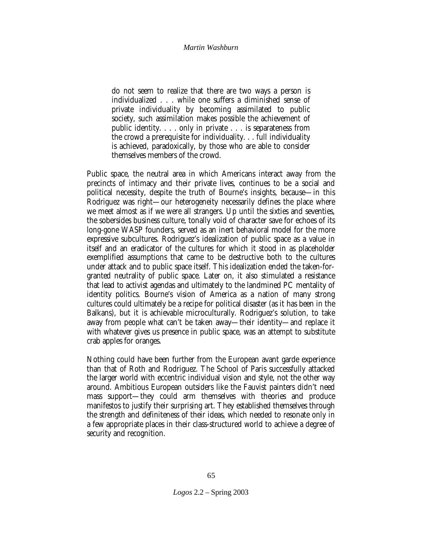do not seem to realize that there are two ways a person is individualized . . . while one suffers a diminished sense of private individuality by becoming assimilated to public society, such assimilation makes possible the achievement of public identity. . . . only in private . . . is separateness from the crowd a prerequisite for individuality. . . full individuality is achieved, paradoxically, by those who are able to consider themselves members of the crowd.

Public space, the neutral area in which Americans interact away from the precincts of intimacy and their private lives, continues to be a social and political necessity, despite the truth of Bourne's insights, because—in this Rodriguez was right—our heterogeneity necessarily defines the place where we meet almost as if we were all strangers. Up until the sixties and seventies, the sobersides business culture, tonally void of character save for echoes of its long-gone WASP founders, served as an inert behavioral model for the more expressive subcultures. Rodriguez's idealization of public space as a value in itself and an eradicator of the cultures for which it stood in as placeholder exemplified assumptions that came to be destructive both to the cultures under attack and to public space itself. This idealization ended the taken-forgranted neutrality of public space. Later on, it also stimulated a resistance that lead to activist agendas and ultimately to the landmined PC mentality of identity politics. Bourne's vision of America as a nation of many strong cultures could ultimately be a recipe for political disaster (as it has been in the Balkans), but it is achievable microculturally. Rodriguez's solution, to take away from people what can't be taken away—their identity—and replace it with whatever gives us presence in public space, was an attempt to substitute crab apples for oranges.

Nothing could have been further from the European avant garde experience than that of Roth and Rodriguez. The School of Paris successfully attacked the larger world with eccentric individual vision and style, not the other way around. Ambitious European outsiders like the Fauvist painters didn't need mass support—they could arm themselves with theories and produce manifestos to justify their surprising art. They established themselves through the strength and definiteness of their ideas, which needed to resonate only in a few appropriate places in their class-structured world to achieve a degree of security and recognition.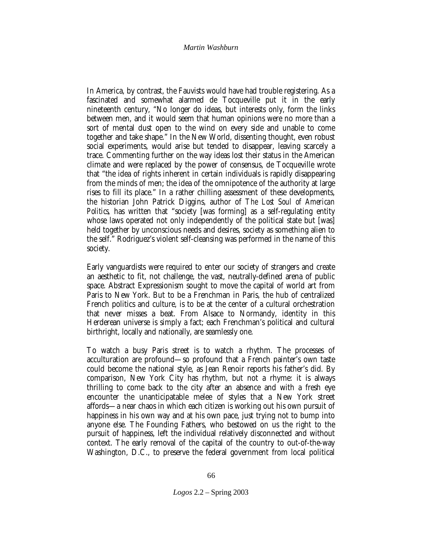In America, by contrast, the Fauvists would have had trouble registering. As a fascinated and somewhat alarmed de Tocqueville put it in the early nineteenth century, "No longer do ideas, but interests only, form the links between men, and it would seem that human opinions were no more than a sort of mental dust open to the wind on every side and unable to come together and take shape." In the New World, dissenting thought, even robust social experiments, would arise but tended to disappear, leaving scarcely a trace. Commenting further on the way ideas lost their status in the American climate and were replaced by the power of consensus, de Tocqueville wrote that "the idea of rights inherent in certain individuals is rapidly disappearing from the minds of men; the idea of the omnipotence of the authority at large rises to fill its place." In a rather chilling assessment of these developments, the historian John Patrick Diggins, author of *The Lost Soul of American Politics*, has written that "society [was forming] as a self-regulating entity whose laws operated not only independently of the political state but [was] held together by unconscious needs and desires, society as something alien to the self." Rodriguez's violent self-cleansing was performed in the name of this society.

Early vanguardists were required to enter our society of strangers and create an aesthetic to fit, not challenge, the vast, neutrally-defined arena of public space. Abstract Expressionism sought to move the capital of world art from Paris to New York. But to be a Frenchman in Paris, the hub of centralized French politics and culture, is to be at the center of a cultural orchestration that never misses a beat. From Alsace to Normandy, identity in this Herderean universe is simply a fact; each Frenchman's political and cultural birthright, locally and nationally, are seamlessly one.

To watch a busy Paris street is to watch a rhythm. The processes of acculturation are profound—so profound that a French painter's own taste could become the national style, as Jean Renoir reports his father's did. By comparison, New York City has rhythm, but not a rhyme: it is always thrilling to come back to the city after an absence and with a fresh eye encounter the unanticipatable melee of styles that a New York street affords—a near chaos in which each citizen is working out his own pursuit of happiness in his own way and at his own pace, just trying not to bump into anyone else. The Founding Fathers, who bestowed on us the right to the pursuit of happiness, left the individual relatively disconnected and without context. The early removal of the capital of the country to out-of-the-way Washington, D.C., to preserve the federal government from local political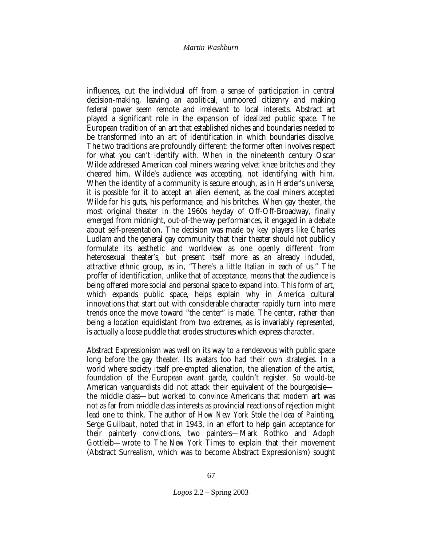influences, cut the individual off from a sense of participation in central decision-making, leaving an apolitical, unmoored citizenry and making federal power seem remote and irrelevant to local interests. Abstract art played a significant role in the expansion of idealized public space. The European tradition of an art that established niches and boundaries needed to be transformed into an art of identification in which boundaries dissolve. The two traditions are profoundly different: the former often involves respect for what you can't identify with. When in the nineteenth century Oscar Wilde addressed American coal miners wearing velvet knee britches and they cheered him, Wilde's audience was accepting, not identifying with him. When the identity of a community is secure enough, as in Herder's universe, it is possible for it to accept an alien element, as the coal miners accepted Wilde for his guts, his performance, and his britches. When gay theater, the most original theater in the 1960s heyday of Off-Off-Broadway, finally emerged from midnight, out-of-the-way performances, it engaged in a debate about self-presentation. The decision was made by key players like Charles Ludlam and the general gay community that their theater should not publicly formulate its aesthetic and worldview as one openly different from heterosexual theater's, but present itself more as an already included, attractive ethnic group, as in, "There's a little Italian in each of us." The proffer of identification, unlike that of acceptance, means that the audience is being offered more social and personal space to expand into. This form of art, which expands public space, helps explain why in America cultural innovations that start out with considerable character rapidly turn into mere trends once the move toward "the center" is made. The center, rather than being a location equidistant from two extremes, as is invariably represented, is actually a loose puddle that erodes structures which express character.

Abstract Expressionism was well on its way to a rendezvous with public space long before the gay theater. Its avatars too had their own strategies. In a world where society itself pre-empted alienation, the alienation of the artist, foundation of the European avant garde, couldn't register. So would-be American vanguardists did not attack their equivalent of the bourgeoisie the middle class—but worked to convince Americans that modern art was not as far from middle class interests as provincial reactions of rejection might lead one to think. The author of *How New York Stole the Idea of Painting,* Serge Guilbaut, noted that in 1943, in an effort to help gain acceptance for their painterly convictions, two painters—Mark Rothko and Adoph Gottleib—wrote to *The New York Times* to explain that their movement (Abstract Surrealism, which was to become Abstract Expressionism) sought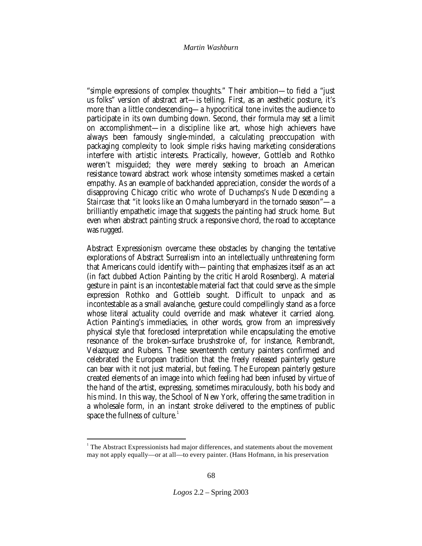"simple expressions of complex thoughts." Their ambition—to field a "just us folks" version of abstract art—is telling. First, as an aesthetic posture, it's more than a little condescending—a hypocritical tone invites the audience to participate in its own dumbing down. Second, their formula may set a limit on accomplishment—in a discipline like art, whose high achievers have always been famously single-minded, a calculating preoccupation with packaging complexity to look simple risks having marketing considerations interfere with artistic interests. Practically, however, Gottleib and Rothko weren't misguided; they were merely seeking to broach an American resistance toward abstract work whose intensity sometimes masked a certain empathy. As an example of backhanded appreciation, consider the words of a disapproving Chicago critic who wrote of Duchamps's *Nude Descending a Staircase:* that "it looks like an Omaha lumberyard in the tornado season"—a brilliantly empathetic image that suggests the painting had struck home. But even when abstract painting struck a responsive chord, the road to acceptance was rugged.

Abstract Expressionism overcame these obstacles by changing the tentative explorations of Abstract Surrealism into an intellectually unthreatening form that Americans could identify with—painting that emphasizes itself as an act (in fact dubbed Action Painting by the critic Harold Rosenberg). A material gesture in paint is an incontestable material fact that could serve as the simple expression Rothko and Gottleib sought. Difficult to unpack and as incontestable as a small avalanche, gesture could compellingly stand as a force whose literal actuality could override and mask whatever it carried along. Action Painting's immediacies, in other words, grow from an impressively physical style that foreclosed interpretation while encapsulating the emotive resonance of the broken-surface brushstroke of, for instance, Rembrandt, Velazquez and Rubens. These seventeenth century painters confirmed and celebrated the European tradition that the freely released painterly gesture can bear with it not just material, but feeling. The European painterly gesture created elements of an image into which feeling had been infused by virtue of the hand of the artist, expressing, sometimes miraculously, both his body and his mind. In this way, the School of New York, offering the same tradition in a wholesale form, in an instant stroke delivered to the emptiness of public space the fullness of culture. $<sup>1</sup>$ </sup>

 1 The Abstract Expressionists had major differences, and statements about the movement may not apply equally—or at all—to every painter. (Hans Hofmann, in his preservation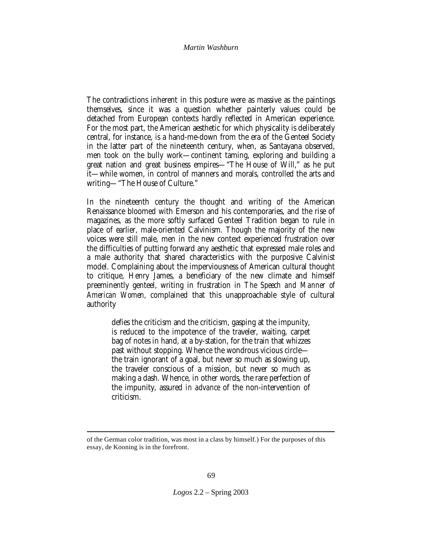The contradictions inherent in this posture were as massive as the paintings themselves, since it was a question whether painterly values could be detached from European contexts hardly reflected in American experience. For the most part, the American aesthetic for which physicality is deliberately central, for instance, is a hand-me-down from the era of the Genteel Society in the latter part of the nineteenth century, when, as Santayana observed, men took on the bully work—continent taming, exploring and building a great nation and great business empires—"The House of Will," as he put it—while women, in control of manners and morals, controlled the arts and writing—"The House of Culture."

In the nineteenth century the thought and writing of the American Renaissance bloomed with Emerson and his contemporaries, and the rise of magazines, as the more softly surfaced Genteel Tradition began to rule in place of earlier, male-oriented Calvinism. Though the majority of the new voices were still male, men in the new context experienced frustration over the difficulties of putting forward any aesthetic that expressed male roles and a male authority that shared characteristics with the purposive Calvinist model. Complaining about the imperviousness of American cultural thought to critique, Henry James, a beneficiary of the new climate and himself preeminently genteel, writing in frustration in *The Speech and Manner of American Women,* complained that this unapproachable style of cultural authority

defies the criticism and the criticism, gasping at the impunity, is reduced to the impotence of the traveler, waiting, carpet bag of notes in hand, at a by-station, for the train that whizzes past without stopping. Whence the wondrous vicious circle the train ignorant of a goal, but never so much as slowing up, the traveler conscious of a mission, but never so much as making a dash. Whence, in other words, the rare perfection of the impunity, assured *in advance* of the non-intervention of criticism.

 $\overline{a}$ of the German color tradition, was most in a class by himself.) For the purposes of this essay, de Kooning is in the forefront.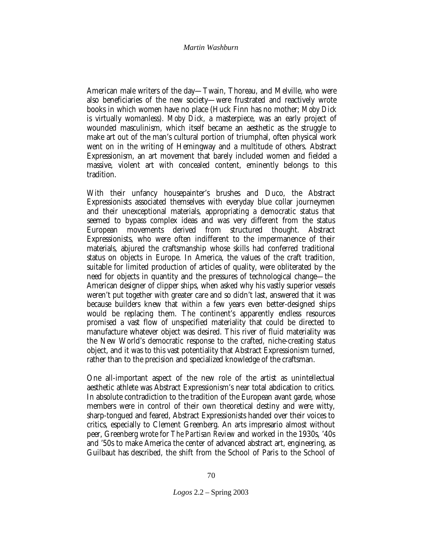American male writers of the day—Twain, Thoreau, and Melville, who were also beneficiaries of the new society—were frustrated and reactively wrote books in which women have no place (Huck Finn has no mother; *Moby Dick* is virtually womanless). *Moby Dick,* a masterpiece, was an early project of wounded masculinism, which itself became an aesthetic as the struggle to make art out of the man's cultural portion of triumphal, often physical work went on in the writing of Hemingway and a multitude of others. Abstract Expressionism, an art movement that barely included women and fielded a massive, violent art with concealed content, eminently belongs to this tradition.

With their unfancy housepainter's brushes and Duco, the Abstract Expressionists associated themselves with everyday blue collar journeymen and their unexceptional materials, appropriating a democratic status that seemed to bypass complex ideas and was very different from the status European movements derived from structured thought. Abstract Expressionists, who were often indifferent to the impermanence of their materials, abjured the craftsmanship whose skills had conferred traditional status on objects in Europe. In America, the values of the craft tradition, suitable for limited production of articles of quality, were obliterated by the need for objects in quantity and the pressures of technological change—the American designer of clipper ships, when asked why his vastly superior vessels weren't put together with greater care and so didn't last, answered that it was because builders knew that within a few years even better-designed ships would be replacing them. The continent's apparently endless resources promised a vast flow of unspecified materiality that could be directed to manufacture whatever object was desired. This river of fluid materiality was the New World's democratic response to the crafted, niche-creating status object, and it was to this vast potentiality that Abstract Expressionism turned, rather than to the precision and specialized knowledge of the craftsman.

One all-important aspect of the new role of the artist as unintellectual aesthetic athlete was Abstract Expressionism's near total abdication to critics. In absolute contradiction to the tradition of the European avant garde, whose members were in control of their own theoretical destiny and were witty, sharp-tongued and feared, Abstract Expressionists handed over their voices to critics, especially to Clement Greenberg. An arts impresario almost without peer, Greenberg wrote for *The Partisan Review* and worked in the 1930s, '40s and '50s to make America the center of advanced abstract art, engineering, as Guilbaut has described*,* the shift from the School of Paris to the School of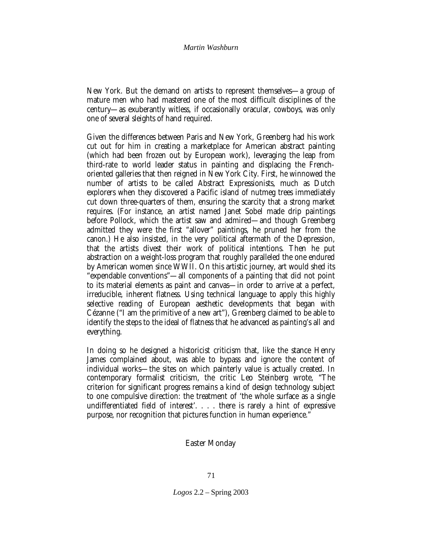New York. But the demand on artists to represent themselves—a group of mature men who had mastered one of the most difficult disciplines of the century—as exuberantly witless, if occasionally oracular, cowboys, was only one of several sleights of hand required.

Given the differences between Paris and New York, Greenberg had his work cut out for him in creating a marketplace for American abstract painting (which had been frozen out by European work), leveraging the leap from third-rate to world leader status in painting and displacing the Frenchoriented galleries that then reigned in New York City. First, he winnowed the number of artists to be called Abstract Expressionists, much as Dutch explorers when they discovered a Pacific island of nutmeg trees immediately cut down three-quarters of them, ensuring the scarcity that a strong market requires. (For instance, an artist named Janet Sobel made drip paintings before Pollock, which the artist saw and admired—and though Greenberg admitted they were the first "allover" paintings, he pruned her from the canon.) He also insisted, in the very political aftermath of the Depression, that the artists divest their work of political intentions. Then he put abstraction on a weight-loss program that roughly paralleled the one endured by American women since WWII. On this artistic journey, art would shed its "expendable conventions"—all components of a painting that did not point to its material elements as paint and canvas—in order to arrive at a perfect, irreducible, inherent flatness. Using technical language to apply this highly selective reading of European aesthetic developments that began with Cézanne ("I am the primitive of a new art"), Greenberg claimed to be able to identify the steps to the ideal of flatness that he advanced as painting's all and everything.

In doing so he designed a historicist criticism that, like the stance Henry James complained about, was able to bypass and ignore the content of individual works—the sites on which painterly value is actually created. In contemporary formalist criticism, the critic Leo Steinberg wrote, "The criterion for significant progress remains a kind of design technology subject to one compulsive direction: the treatment of 'the whole surface as a single undifferentiated field of interest'. . . . there is rarely a hint of expressive purpose, nor recognition that pictures function in human experience."

# **Easter Monday**

*Logos* 2.2 – Spring 2003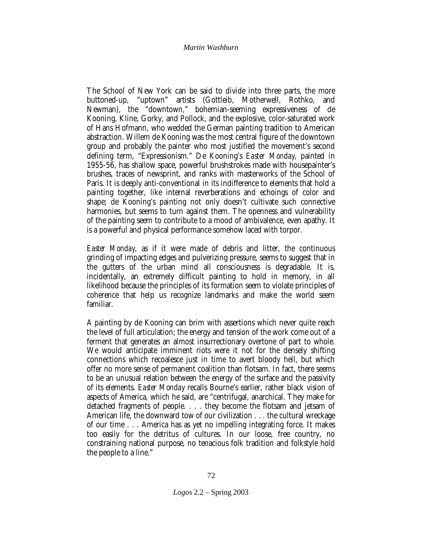The School of New York can be said to divide into three parts, the more buttoned-up, "uptown" artists (Gottleib, Motherwell, Rothko, and Newman), the "downtown," bohemian-seeming expressiveness of de Kooning, Kline, Gorky, and Pollock, and the explosive, color-saturated work of Hans Hofmann, who wedded the German painting tradition to American abstraction. Willem de Kooning was the most central figure of the downtown group and probably the painter who most justified the movement's second defining term, "Expressionism." De Kooning's *Easter Monday,* painted in 1955-56, has shallow space, powerful brushstrokes made with housepainter's brushes, traces of newsprint, and ranks with masterworks of the School of Paris. It is deeply anti-conventional in its indifference to elements that hold a painting together, like internal reverberations and echoings of color and shape; de Kooning's painting not only doesn't cultivate such connective harmonies, but seems to turn against them. The openness and vulnerability of the painting seem to contribute to a mood of ambivalence, even apathy. It is a powerful and physical performance somehow laced with torpor.

*Easter Monday*, as if it were made of debris and litter, the continuous grinding of impacting edges and pulverizing pressure, seems to suggest that in the gutters of the urban mind all consciousness is degradable. It is, incidentally, an extremely difficult painting to hold in memory, in all likelihood because the principles of its formation seem to violate principles of coherence that help us recognize landmarks and make the world seem familiar.

A painting by de Kooning can brim with assertions which never quite reach the level of full articulation; the energy and tension of the work come out of a ferment that generates an almost insurrectionary overtone of part to whole. We would anticipate imminent riots were it not for the densely shifting connections which recoalesce just in time to avert bloody hell, but which offer no more sense of permanent coalition than flotsam. In fact, there seems to be an unusual relation between the energy of the surface and the passivity of its elements. *Easter Monday* recalls Bourne's earlier, rather black vision of aspects of America, which he said, are "centrifugal, anarchical. They make for detached fragments of people. . . . they become the flotsam and jetsam of American life, the downward tow of our civilization . . . the cultural wreckage of our time . . . America has as yet no impelling integrating force. It makes too easily for the detritus of cultures. In our loose, free country, no constraining national purpose, no tenacious folk tradition and folkstyle hold the people to a line."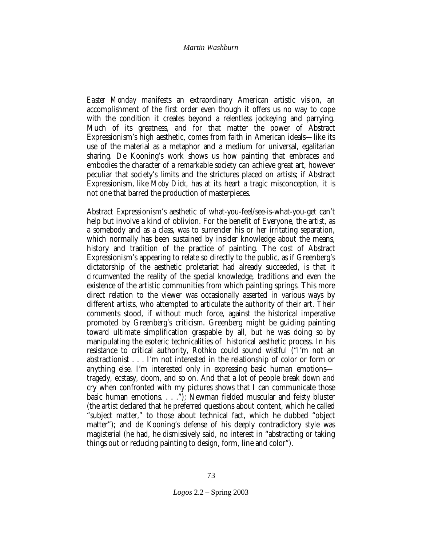*Easter Monday* manifests an extraordinary American artistic vision, an accomplishment of the first order even though it offers us no way to cope with the condition it creates beyond a relentless jockeying and parrying. Much of its greatness, and for that matter the power of Abstract Expressionism's high aesthetic, comes from faith in American ideals—like its use of the material as a metaphor and a medium for universal, egalitarian sharing. De Kooning's work shows us how painting that embraces and embodies the character of a remarkable society can achieve great art, however peculiar that society's limits and the strictures placed on artists; if Abstract Expressionism, like *Moby Dick,* has at its heart a tragic misconception, it is not one that barred the production of masterpieces.

Abstract Expressionism's aesthetic of what-you-feel/see-is-what-you-get can't help but involve a kind of oblivion. For the benefit of Everyone, the artist, as a somebody and as a class, was to surrender his or her irritating separation, which normally has been sustained by insider knowledge about the means, history and tradition of the practice of painting. The cost of Abstract Expressionism's appearing to relate so directly to the public, as if Greenberg's dictatorship of the aesthetic proletariat had already succeeded, is that it circumvented the reality of the special knowledge, traditions and even the existence of the artistic communities from which painting springs. This more direct relation to the viewer was occasionally asserted in various ways by different artists, who attempted to articulate the authority of their art. Their comments stood, if without much force, against the historical imperative promoted by Greenberg's criticism. Greenberg might be guiding painting toward ultimate simplification graspable by all, but he was doing so by manipulating the esoteric technicalities of historical aesthetic process. In his resistance to critical authority, Rothko could sound wistful ("I'm not an abstractionist . . . I'm not interested in the relationship of color or form or anything else. I'm interested only in expressing basic human emotions tragedy, ecstasy, doom, and so on. And that a lot of people break down and cry when confronted with my pictures shows that I can communicate those basic human emotions. . . ."); Newman fielded muscular and feisty bluster (the artist declared that he preferred questions about content, which he called "subject matter," to those about technical fact, which he dubbed "object matter"); and de Kooning's defense of his deeply contradictory style was magisterial (he had, he dismissively said, no interest in "abstracting or taking things out or reducing painting to design, form, line and color").

*Logos* 2.2 – Spring 2003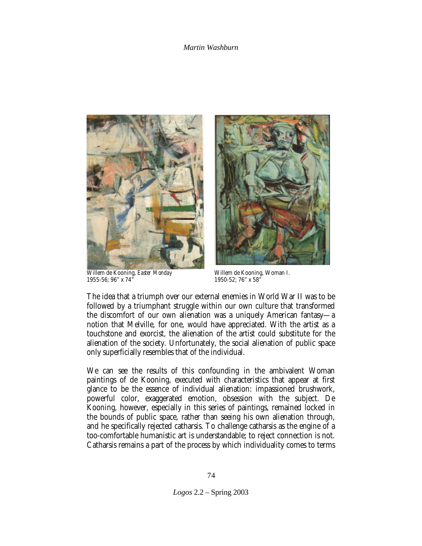

Willem de Kooning, *Easter Monday* 1955-56; 96" x 74"



Willem de Kooning, Woman I. 1950-52; 76" x 58"

The idea that a triumph over our external enemies in World War II was to be followed by a triumphant struggle within our own culture that transformed the discomfort of our own alienation was a uniquely American fantasy—a notion that Melville, for one, would have appreciated. With the artist as a touchstone and exorcist, the alienation of the artist could substitute for the alienation of the society. Unfortunately, the social alienation of public space only superficially resembles that of the individual.

We can see the results of this confounding in the ambivalent Woman paintings of de Kooning, executed with characteristics that appear at first glance to be the essence of individual alienation: impassioned brushwork, powerful color, exaggerated emotion, obsession with the subject. De Kooning, however, especially in this series of paintings, remained locked in the bounds of public space, rather than seeing his own alienation through, and he specifically rejected catharsis. To challenge catharsis as the engine of a too-comfortable humanistic art is understandable; to reject connection is not. Catharsis remains a part of the process by which individuality comes to terms

*Logos* 2.2 – Spring 2003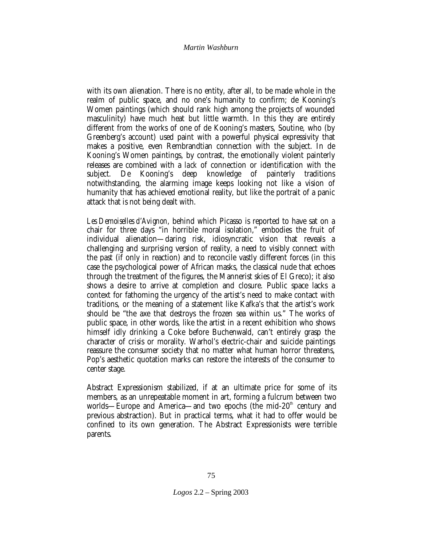with its own alienation. There is no entity, after all, to be made whole in the realm of public space, and no one's humanity to confirm; de Kooning's Women paintings (which should rank high among the projects of wounded masculinity) have much heat but little warmth. In this they are entirely different from the works of one of de Kooning's masters, Soutine, who (by Greenberg's account) used paint with a powerful physical expressivity that makes a positive, even Rembrandtian connection with the subject. In de Kooning's Women paintings, by contrast, the emotionally violent painterly releases are combined with a *lack* of connection or identification with the subject. De Kooning's deep knowledge of painterly traditions subject. De Kooning's deep knowledge of painterly traditions notwithstanding, the alarming image keeps looking not like a vision of humanity that has achieved emotional reality, but like the portrait of a panic attack that is not being dealt with.

*Les Demoiselles d'Avignon*, behind which Picasso is reported to have sat on a chair for three days "in horrible moral isolation," embodies the fruit of individual alienation—daring risk, idiosyncratic vision that reveals a challenging and surprising version of reality, a need to visibly connect with the past (if only in reaction) and to reconcile vastly different forces (in this case the psychological power of African masks, the classical nude that echoes through the treatment of the figures, the Mannerist skies of El Greco); it also shows a desire to arrive at completion and closure. Public space lacks a context for fathoming the urgency of the artist's need to make contact with traditions, or the meaning of a statement like Kafka's that the artist's work should be "the axe that destroys the frozen sea within us." The works of public space, in other words, like the artist in a recent exhibition who shows himself idly drinking a Coke before Buchenwald, can't entirely grasp the character of crisis or morality. Warhol's electric-chair and suicide paintings reassure the consumer society that no matter what human horror threatens, Pop's aesthetic quotation marks can restore the interests of the consumer to center stage.

Abstract Expressionism stabilized, if at an ultimate price for some of its members, as an unrepeatable moment in art, forming a fulcrum between two worlds—Europe and America—and two epochs (the mid-20<sup>th</sup> century and previous abstraction). But in practical terms, what it had to offer would be confined to its own generation. The Abstract Expressionists were terrible parents.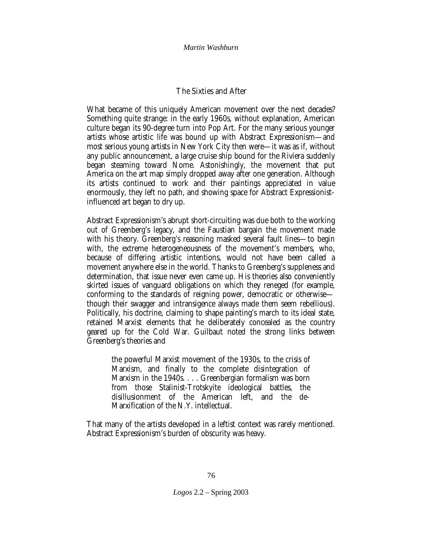# **The Sixties and After**

What became of this uniquely American movement over the next decades? Something quite strange: in the early 1960s, without explanation, American culture began its 90-degree turn into Pop Art. For the many serious younger artists whose artistic life was bound up with Abstract Expressionism—and most serious young artists in New York City then were—it was as if, without any public announcement, a large cruise ship bound for the Riviera suddenly began steaming toward Nome. Astonishingly, the movement that put America on the art map simply dropped away after one generation. Although its artists continued to work and their paintings appreciated in value enormously, they left no path, and showing space for Abstract Expressionistinfluenced art began to dry up.

Abstract Expressionism's abrupt short-circuiting was due both to the working out of Greenberg's legacy, and the Faustian bargain the movement made with his theory. Greenberg's reasoning masked several fault lines—to begin with, the extreme heterogeneousness of the movement's members, who, because of differing artistic intentions, would not have been called a movement anywhere else in the world. Thanks to Greenberg's suppleness and determination, that issue never even came up. His theories also conveniently skirted issues of vanguard obligations on which they reneged (for example, conforming to the standards of reigning power, democratic or otherwise though their swagger and intransigence always made them seem rebellious). Politically, his doctrine, claiming to shape painting's march to its ideal state, retained Marxist elements that he deliberately concealed as the country geared up for the Cold War. Guilbaut noted the strong links between Greenberg's theories and

the powerful Marxist movement of the 1930s, to the crisis of Marxism, and finally to the complete disintegration of Marxism in the 1940s. . . . Greenbergian formalism was born from those Stalinist-Trotskyite ideological battles, the disillusionment of the American left, and the de-Marxification of the N.Y. intellectual.

That many of the artists developed in a leftist context was rarely mentioned. Abstract Expressionism's burden of obscurity was heavy.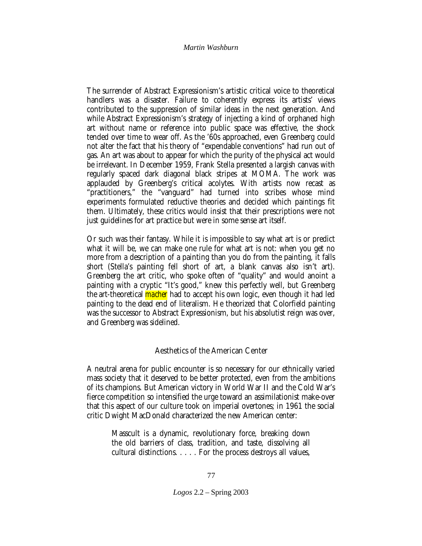The surrender of Abstract Expressionism's artistic critical voice to theoretical handlers was a disaster. Failure to coherently express its artists' views contributed to the suppression of similar ideas in the next generation. And while Abstract Expressionism's strategy of injecting a kind of orphaned high art without name or reference into public space was effective, the shock tended over time to wear off. As the '60s approached, even Greenberg could not alter the fact that his theory of "expendable conventions" had run out of gas. An art was about to appear for which the purity of the physical act would be irrelevant. In December 1959, Frank Stella presented a largish canvas with regularly spaced dark diagonal black stripes at MOMA. The work was applauded by Greenberg's critical acolytes. With artists now recast as "practitioners," the "vanguard" had turned into scribes whose mind experiments formulated reductive theories and decided which paintings fit them. Ultimately, these critics would insist that their prescriptions were not just guidelines for art practice but were in some sense art itself.

Or such was their fantasy. While it is impossible to say what art is or predict what it will be, we can make one rule for what art is not: when you get no more from a description of a painting than you do from the painting, it falls short (Stella's painting fell short of art, a blank canvas also isn't art). Greenberg the art critic, who spoke often of "quality" and would anoint a painting with a cryptic "It's good," knew this perfectly well, but Greenberg the art-theoretical *macher* had to accept his own logic, even though it had led painting to the dead end of literalism. He theorized that Colorfield painting was the successor to Abstract Expressionism, but his absolutist reign was over, and Greenberg was sidelined.

# **Aesthetics of the American Center**

A neutral arena for public encounter is so necessary for our ethnically varied mass society that it deserved to be better protected, even from the ambitions of its champions. But American victory in World War II and the Cold War's fierce competition so intensified the urge toward an assimilationist make-over that this aspect of our culture took on imperial overtones; in 1961 the social critic Dwight MacDonald characterized the new American center:

Masscult is a dynamic, revolutionary force, breaking down the old barriers of class, tradition, and taste, dissolving all cultural distinctions. . . . . For the process destroys all values,

*Logos* 2.2 – Spring 2003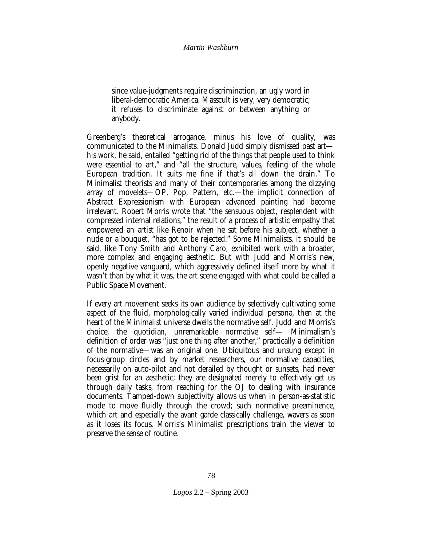since value-judgments require discrimination, an ugly word in liberal-democratic America. Masscult is very, very democratic; it refuses to discriminate against or between anything or anybody.

Greenberg's theoretical arrogance, minus his love of quality, was communicated to the Minimalists. Donald Judd simply dismissed past art his work, he said, entailed "getting rid of the things that people used to think were essential to art," and "all the structure, values, feeling of the whole European tradition. It suits me fine if that's all down the drain." To Minimalist theorists and many of their contemporaries among the dizzying array of movelets—OP, Pop, Pattern, etc.—the implicit connection of Abstract Expressionism with European advanced painting had become irrelevant. Robert Morris wrote that "the sensuous object, resplendent with compressed internal relations," the result of a process of artistic empathy that empowered an artist like Renoir when he sat before his subject, whether a nude or a bouquet, "has got to be rejected." Some Minimalists, it should be said, like Tony Smith and Anthony Caro, exhibited work with a broader, more complex and engaging aesthetic. But with Judd and Morris's new, openly negative vanguard, which aggressively defined itself more by what it wasn't than by what it was, the art scene engaged with what could be called a Public Space Movement.

If every art movement seeks its own audience by selectively cultivating some aspect of the fluid, morphologically varied individual persona, then at the heart of the Minimalist universe dwells the normative self. Judd and Morris's choice, the quotidian, unremarkable normative self— Minimalism's definition of order was "just one thing after another," practically a definition of the normative—was an original one. Ubiquitous and unsung except in focus-group circles and by market researchers, our normative capacities, necessarily on auto-pilot and not derailed by thought or sunsets, had never been grist for an aesthetic; they are designated merely to effectively get us through daily tasks, from reaching for the OJ to dealing with insurance documents. Tamped-down subjectivity allows us when in person-as-statistic mode to move fluidly through the crowd; such normative preeminence, which art and especially the avant garde classically challenge, wavers as soon as it loses its focus. Morris's Minimalist prescriptions train the viewer to preserve the sense of routine.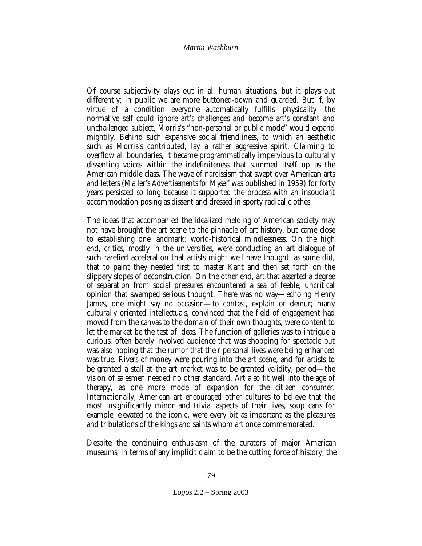Of course subjectivity plays out in all human situations, but it plays out differently; in public we are more buttoned-down and guarded. But if, by virtue of a condition everyone automatically fulfills—physicality—the normative self could ignore art's challenges and become art's constant and unchallenged subject, Morris's "non-personal or public mode" would expand mightily. Behind such expansive social friendliness, to which an aesthetic such as Morris's contributed, lay a rather aggressive spirit. Claiming to overflow all boundaries, it became programmatically impervious to culturally dissenting voices within the indefiniteness that summed itself up as the American middle class. The wave of narcissism that swept over American arts and letters (Mailer's *Advertisements for Myself* was published in 1959) for forty years persisted so long because it supported the process with an insouciant accommodation posing as dissent and dressed in sporty radical clothes.

The ideas that accompanied the idealized melding of American society may not have brought the art scene to the pinnacle of art history, but came close to establishing one landmark: world-historical mindlessness. On the high end, critics, mostly in the universities, were conducting an art dialogue of such rarefied acceleration that artists might well have thought, as some did, that to paint they needed first to master Kant and then set forth on the slippery slopes of deconstruction. On the other end, art that asserted a degree of separation from social pressures encountered a sea of feeble, uncritical opinion that swamped serious thought. There was no way—echoing Henry James, one might say no occasion—to contest, explain or demur; many culturally oriented intellectuals, convinced that the field of engagement had moved from the canvas to the domain of their own thoughts, were content to let the market be the test of ideas. The function of galleries was to intrigue a curious, often barely involved audience that was shopping for spectacle but was also hoping that the rumor that their personal lives were being enhanced was true. Rivers of money were pouring into the art scene, and for artists to be granted a stall at the art market was to be granted validity, period—the vision of salesmen needed no other standard. Art also fit well into the age of therapy, as one more mode of expansion for the citizen consumer. Internationally, American art encouraged other cultures to believe that the most insignificantly minor and trivial aspects of their lives, soup cans for example, elevated to the iconic, were every bit as important as the pleasures and tribulations of the kings and saints whom art once commemorated.

Despite the continuing enthusiasm of the curators of major American museums, in terms of any implicit claim to be the cutting force of history, the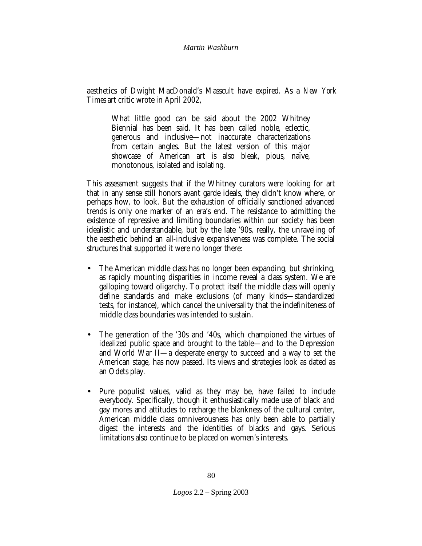aesthetics of Dwight MacDonald's Masscult have expired. As a *New York Times* art critic wrote in April 2002,

What little good can be said about the 2002 Whitney Biennial has been said. It has been called noble, eclectic, generous and inclusive—not inaccurate characterizations from certain angles. But the latest version of this major showcase of American art is also bleak, pious, naïve, monotonous, isolated and isolating.

This assessment suggests that if the Whitney curators were looking for art that in any sense still honors avant garde ideals, they didn't know where, or perhaps how, to look. But the exhaustion of officially sanctioned advanced trends is only one marker of an era's end. The resistance to admitting the existence of repressive and limiting boundaries within our society has been idealistic and understandable, but by the late '90s, really, the unraveling of the aesthetic behind an all-inclusive expansiveness was complete. The social structures that supported it were no longer there:

- The American middle class has no longer been expanding, but shrinking, as rapidly mounting disparities in income reveal a class system. We are galloping toward oligarchy. To protect itself the middle class will openly define standards and make exclusions (of many kinds—standardized tests, for instance), which cancel the universality that the indefiniteness of middle class boundaries was intended to sustain.
- The generation of the '30s and '40s, which championed the virtues of idealized public space and brought to the table—and to the Depression and World War II—a desperate energy to succeed and a way to set the American stage, has now passed. Its views and strategies look as dated as an Odets play.
- Pure populist values, valid as they may be, have failed to include everybody. Specifically, though it enthusiastically made use of black and gay mores and attitudes to recharge the blankness of the cultural center, American middle class omniverousness has only been able to partially digest the interests and the identities of blacks and gays. Serious limitations also continue to be placed on women's interests.

*Logos* 2.2 – Spring 2003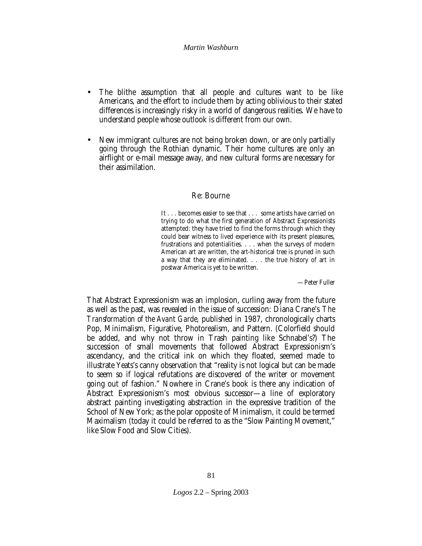- The blithe assumption that all people and cultures want to be like Americans, and the effort to include them by acting oblivious to their stated differences is increasingly risky in a world of dangerous realities. We have to understand people whose outlook is different from our own.
- New immigrant cultures are not being broken down, or are only partially going through the Rothian dynamic. Their home cultures are only an airflight or e-mail message away, and new cultural forms are necessary for their assimilation.

# **Re: Bourne**

It . . . becomes easier to see that . . . some artists have carried on trying to do what the first generation of Abstract Expressionists attempted: they have tried to find the forms through which they could bear witness to lived experience with its present pleasures, frustrations and potentialities. . . . when the surveys of modern American art are written, the art-historical tree is pruned in such a way that they are eliminated. . . . the true history of art in postwar America is yet to be written.

—Peter Fuller

That Abstract Expressionism was an implosion, curling away from the future as well as the past, was revealed in the issue of succession: Diana Crane's *The Transformation of the Avant Garde,* published in 1987, chronologically charts Pop, Minimalism, Figurative, Photorealism, and Pattern. (Colorfield should be added, and why not throw in Trash painting like Schnabel's?) The succession of small movements that followed Abstract Expressionism's ascendancy, and the critical ink on which they floated, seemed made to illustrate Yeats's canny observation that "reality is not logical but can be made to seem so if logical refutations are discovered of the writer or movement going out of fashion." Nowhere in Crane's book is there any indication of Abstract Expressionism's most obvious successor—a line of exploratory abstract painting investigating abstraction in the expressive tradition of the School of New York; as the polar opposite of Minimalism, it could be termed Maximalism (today it could be referred to as the "Slow Painting Movement," like Slow Food and Slow Cities).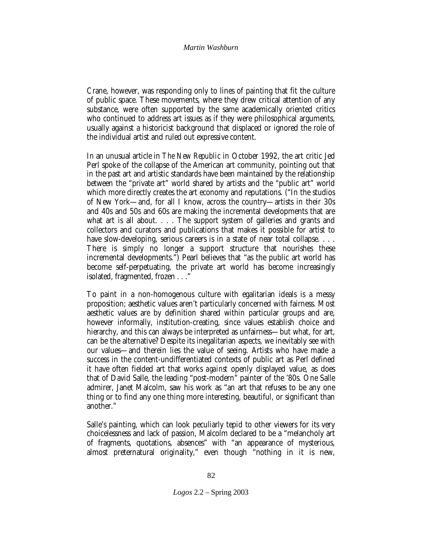Crane, however, was responding only to lines of painting that fit the culture of public space. These movements, where they drew critical attention of any substance, were often supported by the same academically oriented critics who continued to address art issues as if they were philosophical arguments, usually against a historicist background that displaced or ignored the role of the individual artist and ruled out expressive content.

In an unusual article in *The New Republic* in October 1992, the art critic Jed Perl spoke of the collapse of the American art community, pointing out that in the past art and artistic standards have been maintained by the relationship between the "private art" world shared by artists and the "public art" world which more directly creates the art economy and reputations. ("In the studios of New York—and, for all I know, across the country—artists in their 30s and 40s and 50s and 60s are making the incremental developments that are what art is all about. . . . The support system of galleries and grants and collectors and curators and publications that makes it possible for artist to have slow-developing, serious careers is in a state of near total collapse. ... There is simply no longer a support structure that nourishes these incremental developments.") Pearl believes that "as the public art world has become self-perpetuating, the private art world has become increasingly isolated, fragmented, frozen . . ."

To paint in a non-homogenous culture with egalitarian ideals is a messy proposition; aesthetic values aren't particularly concerned with fairness. Most aesthetic values are by definition shared within particular groups and are, however informally, institution-creating, since values establish choice and hierarchy, and this can always be interpreted as unfairness—but what, for art, can be the alternative? Despite its inegalitarian aspects, we inevitably see with our values—and therein lies the value of seeing. Artists who have made a success in the content-undifferentiated contexts of public art as Perl defined it have often fielded art that works *against* openly displayed value, as does that of David Salle, the leading "post-modern" painter of the '80s. One Salle admirer, Janet Malcolm, saw his work as "an art that refuses to be any one thing or to find any one thing more interesting, beautiful, or significant than another."

Salle's painting, which can look peculiarly tepid to other viewers for its very choicelessness and lack of passion, Malcolm declared to be a "melancholy art of fragments, quotations, absences" with "an appearance of mysterious, almost preternatural originality," even though "nothing in it is new,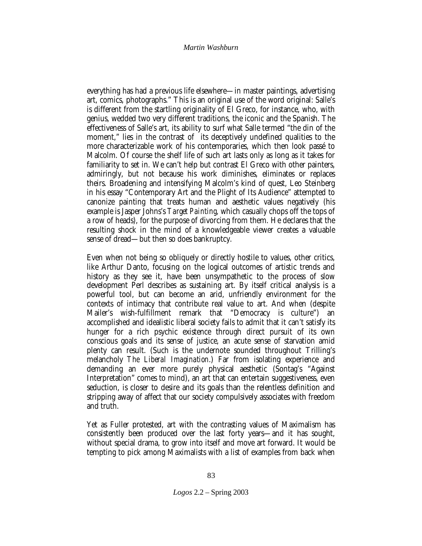everything has had a previous life elsewhere—in master paintings, advertising art, comics, photographs." This is an original use of the word original: Salle's is different from the startling originality of El Greco, for instance, who, with genius, wedded two very different traditions, the iconic and the Spanish. The effectiveness of Salle's art, its ability to surf what Salle termed "the din of the moment," lies in the contrast of its deceptively undefined qualities to the more characterizable work of his contemporaries, which then look passé to Malcolm. Of course the shelf life of such art lasts only as long as it takes for familiarity to set in. We can't help but contrast El Greco with other painters, admiringly, but not because his work diminishes, eliminates or replaces theirs. Broadening and intensifying Malcolm's kind of quest, Leo Steinberg in his essay "Contemporary Art and the Plight of Its Audience" attempted to canonize painting that treats human and aesthetic values negatively (his example is Jasper Johns's *Target Painting,* which casually chops off the tops of a row of heads), for the purpose of divorcing from them. He declares that the resulting shock in the mind of a knowledgeable viewer creates a valuable sense of dread—but then so does bankruptcy.

Even when not being so obliquely or directly hostile to values, other critics, like Arthur Danto, focusing on the logical outcomes of artistic trends and history as they see it, have been unsympathetic to the process of slow development Perl describes as sustaining art. By itself critical analysis is a powerful tool, but can become an arid, unfriendly environment for the contexts of intimacy that contribute real value to art. And when (despite Mailer's wish-fulfillment remark that "Democracy is culture") an accomplished and idealistic liberal society fails to admit that it can't satisfy its hunger for a rich psychic existence through direct pursuit of its own conscious goals and its sense of justice, an acute sense of starvation amid plenty can result. (Such is the undernote sounded throughout Trilling's melancholy *The Liberal Imagination*.) Far from isolating experience and demanding an ever more purely physical aesthetic (Sontag's "Against Interpretation" comes to mind), an art that can entertain suggestiveness, even seduction, is closer to desire and its goals than the relentless definition and stripping away of affect that our society compulsively associates with freedom and truth.

Yet as Fuller protested, art with the contrasting values of Maximalism has consistently been produced over the last forty years—and it has sought, without special drama, to grow into itself and move art forward. It would be tempting to pick among Maximalists with a list of examples from back when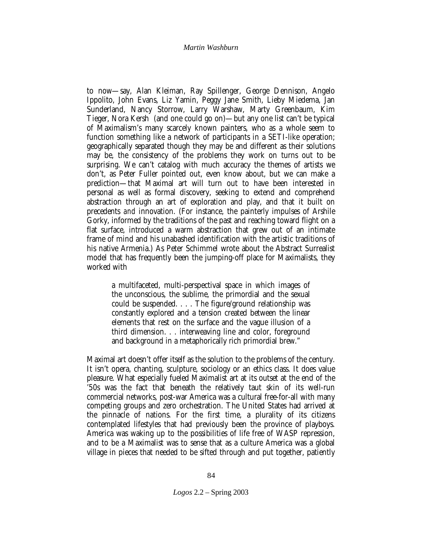to now—say, Alan Kleiman, Ray Spillenger, George Dennison, Angelo Ippolito, John Evans, Liz Yamin, Peggy Jane Smith, Lieby Miedema, Jan Sunderland, Nancy Storrow, Larry Warshaw, Marty Greenbaum, Kim Tieger, Nora Kersh (and one could go on)—but any one list can't be typical of Maximalism's many scarcely known painters, who as a whole seem to function something like a network of participants in a SETI-like operation; geographically separated though they may be and different as their solutions may be, the consistency of the problems they work on turns out to be surprising. We can't catalog with much accuracy the themes of artists we don't, as Peter Fuller pointed out, even know about, but we can make a prediction—that Maximal art will turn out to have been interested in personal as well as formal discovery, seeking to extend and comprehend abstraction through an art of exploration and play, and that it built on precedents *and* innovation. (For instance, the painterly impulses of Arshile Gorky, informed by the traditions of the past and reaching toward flight on a flat surface, introduced a warm abstraction that grew out of an intimate frame of mind and his unabashed identification with the artistic traditions of his native Armenia.) As Peter Schimmel wrote about the Abstract Surrealist model that has frequently been the jumping-off place for Maximalists, they worked with

a multifaceted, multi-perspectival space in which images of the unconscious, the sublime, the primordial and the sexual could be suspended. . . . The figure/ground relationship was constantly explored and a tension created between the linear elements that rest on the surface and the vague illusion of a third dimension. . . interweaving line and color, foreground and background in a metaphorically rich primordial brew."

Maximal art doesn't offer itself as the solution to the problems of the century. It isn't opera, chanting, sculpture, sociology or an ethics class. It does value pleasure. What especially fueled Maximalist art at its outset at the end of the '50s was the fact that beneath the relatively taut skin of its well-run commercial networks, post-war America was a cultural free-for-all with many competing groups and zero orchestration. The United States had arrived at the pinnacle of nations. For the first time, a plurality of its citizens contemplated lifestyles that had previously been the province of playboys. America was waking up to the possibilities of life free of WASP repression, and to be a Maximalist was to sense that as a culture America was a global village in pieces that needed to be sifted through and put together, patiently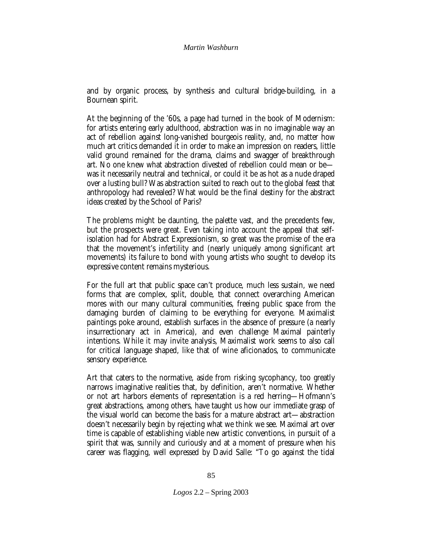and by organic process, by synthesis and cultural bridge-building, in a Bournean spirit.

At the beginning of the '60s, a page had turned in the book of Modernism: for artists entering early adulthood, abstraction was in no imaginable way an act of rebellion against long-vanished bourgeois reality, and, no matter how much art critics demanded it in order to make an impression on readers, little valid ground remained for the drama, claims and swagger of breakthrough art. No one knew what abstraction divested of rebellion could mean or be was it necessarily neutral and technical, or could it be as hot as a nude draped over a lusting bull? Was abstraction suited to reach out to the global feast that anthropology had revealed? What would be the final destiny for the abstract ideas created by the School of Paris?

The problems might be daunting, the palette vast, and the precedents few, but the prospects were great. Even taking into account the appeal that selfisolation had for Abstract Expressionism, so great was the promise of the era that the movement's infertility and (nearly uniquely among significant art movements) its failure to bond with young artists who sought to develop its expressive content remains mysterious.

For the full art that public space can't produce, much less sustain, we need forms that are complex, split, double, that connect overarching American mores with our many cultural communities, freeing public space from the damaging burden of claiming to be everything for everyone. Maximalist paintings poke around, establish surfaces in the absence of pressure (a nearly insurrectionary act in America), and even challenge Maximal painterly intentions. While it may invite analysis, Maximalist work seems to also call for critical language shaped, like that of wine aficionados, to communicate sensory experience.

Art that caters to the normative, aside from risking sycophancy, too greatly narrows imaginative realities that, by definition, aren't normative. Whether or not art harbors elements of representation is a red herring—Hofmann's great abstractions, among others, have taught us how our immediate grasp of the visual world can become the basis for a mature abstract art—abstraction doesn't necessarily begin by rejecting what we think we see. Maximal art over time is capable of establishing viable new artistic conventions, in pursuit of a spirit that was, sunnily and curiously and at a moment of pressure when his career was flagging, well expressed by David Salle: "To go against the tidal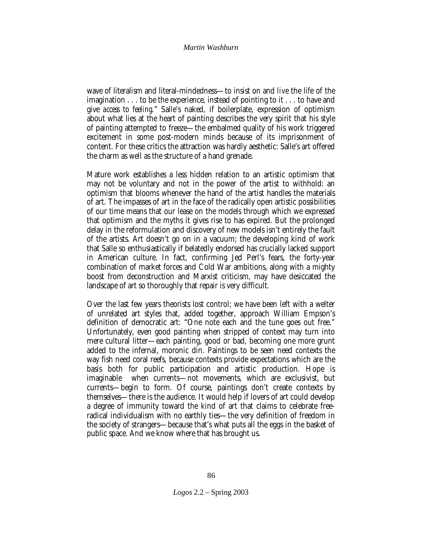wave of literalism and literal-mindedness—to insist on and *live* the life of the imagination . . . to be the experience, instead of pointing to it . . . to have and give *access to feeling.*" Salle's naked, if boilerplate, expression of optimism about what lies at the heart of painting describes the very spirit that his style of painting attempted to freeze—the embalmed quality of his work triggered excitement in some post-modern minds because of its imprisonment of content. For these critics the attraction was hardly aesthetic: Salle's art offered the charm as well as the structure of a hand grenade.

Mature work establishes a less hidden relation to an artistic optimism that may not be voluntary and not in the power of the artist to withhold: an optimism that blooms whenever the hand of the artist handles the materials of art. The impasses of art in the face of the radically open artistic possibilities of our time means that our lease on the models through which we expressed that optimism and the myths it gives rise to has expired. But the prolonged delay in the reformulation and discovery of new models isn't entirely the fault of the artists. Art doesn't go on in a vacuum; the developing kind of work that Salle so enthusiastically if belatedly endorsed has crucially lacked support in American culture. In fact, confirming Jed Perl's fears, the forty-year combination of market forces and Cold War ambitions, along with a mighty boost from deconstruction and Marxist criticism, may have desiccated the landscape of art so thoroughly that repair is very difficult.

Over the last few years theorists lost control; we have been left with a welter of unrelated art styles that, added together, approach William Empson's definition of democratic art: "One note each and the tune goes out free." Unfortunately, even good painting when stripped of context may turn into mere cultural litter—each painting, good or bad, becoming one more grunt added to the infernal, moronic din. Paintings to be seen need contexts the way fish need coral reefs, because contexts provide expectations which are the basis both for public participation and artistic production. Hope is imaginable when currents—not movements, which are exclusivist, but currents—begin to form. Of course, paintings don't create contexts by themselves—there is the audience. It would help if lovers of art could develop a degree of immunity toward the kind of art that claims to celebrate freeradical individualism with no earthly ties—the very definition of freedom in the society of strangers—because that's what puts all the eggs in the basket of public space. And we know where that has brought us.